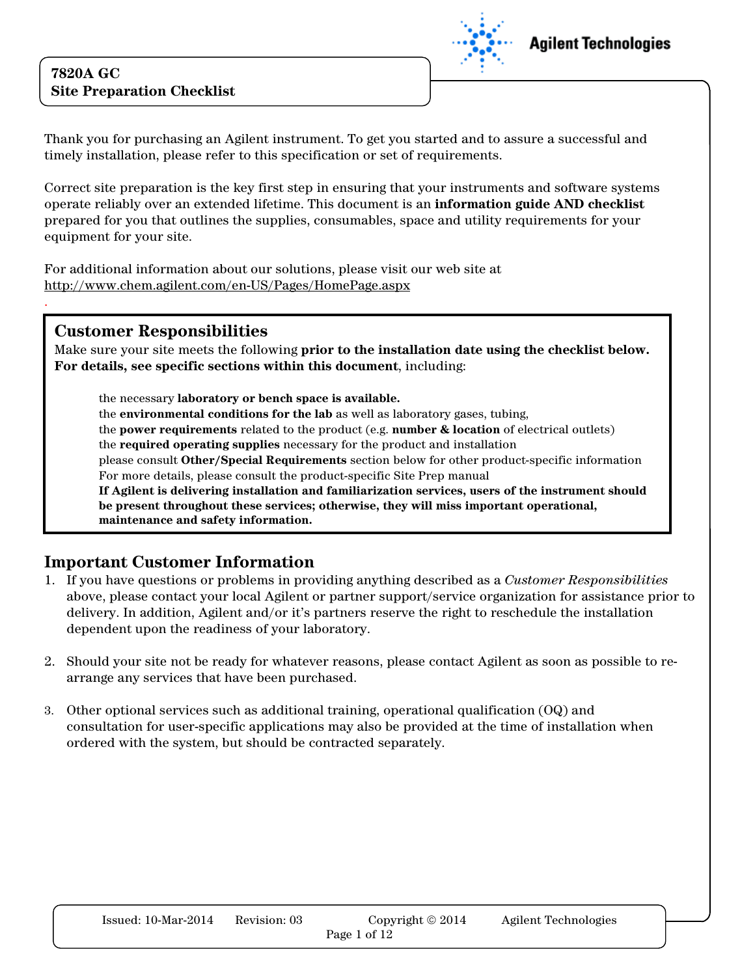

Thank you for purchasing an Agilent instrument. To get you started and to assure a successful and timely installation, please refer to this specification or set of requirements.

Correct site preparation is the key first step in ensuring that your instruments and software systems operate reliably over an extended lifetime. This document is an information guide AND checklist prepared for you that outlines the supplies, consumables, space and utility requirements for your equipment for your site.

For additional information about our solutions, please visit our web site at http://www.chem.agilent.com/en-US/Pages/HomePage.aspx

#### Customer Responsibilities

.

Make sure your site meets the following prior to the installation date using the checklist below. For details, see specific sections within this document, including:

the necessary laboratory or bench space is available. the environmental conditions for the lab as well as laboratory gases, tubing, the **power requirements** related to the product (e.g. **number & location** of electrical outlets) the required operating supplies necessary for the product and installation please consult Other/Special Requirements section below for other product-specific information For more details, please consult the product-specific Site Prep manual If Agilent is delivering installation and familiarization services, users of the instrument should be present throughout these services; otherwise, they will miss important operational, maintenance and safety information.

#### Important Customer Information

- 1. If you have questions or problems in providing anything described as a Customer Responsibilities above, please contact your local Agilent or partner support/service organization for assistance prior to delivery. In addition, Agilent and/or it's partners reserve the right to reschedule the installation dependent upon the readiness of your laboratory.
- 2. Should your site not be ready for whatever reasons, please contact Agilent as soon as possible to rearrange any services that have been purchased.
- 3. Other optional services such as additional training, operational qualification (OQ) and consultation for user-specific applications may also be provided at the time of installation when ordered with the system, but should be contracted separately.

| Issued: $10$ -Mar- $2014$ | Revision: 03 | Copyright $\odot$ 2014 | Agilent Technologies |
|---------------------------|--------------|------------------------|----------------------|
|                           |              | Page 1 of 12           |                      |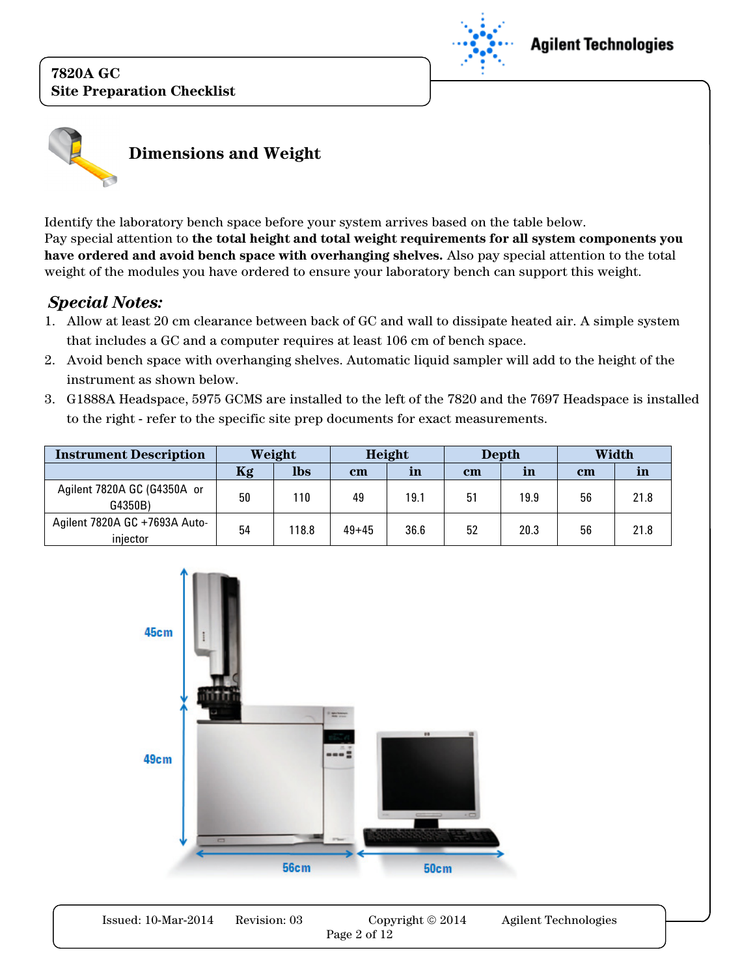



Identify the laboratory bench space before your system arrives based on the table below. Pay special attention to the total height and total weight requirements for all system components you have ordered and avoid bench space with overhanging shelves. Also pay special attention to the total weight of the modules you have ordered to ensure your laboratory bench can support this weight.

### Special Notes:

- 1. Allow at least 20 cm clearance between back of GC and wall to dissipate heated air. A simple system that includes a GC and a computer requires at least 106 cm of bench space.
- 2. Avoid bench space with overhanging shelves. Automatic liquid sampler will add to the height of the instrument as shown below.
- 3. G1888A Headspace, 5975 GCMS are installed to the left of the 7820 and the 7697 Headspace is installed to the right - refer to the specific site prep documents for exact measurements.

| <b>Instrument Description</b>             |    | Weight     |           | Height |      | <b>Depth</b> |      | Width |
|-------------------------------------------|----|------------|-----------|--------|------|--------------|------|-------|
|                                           | Kg | <b>lbs</b> | $cm$      | in     | $cm$ | in           | $cm$ | ın    |
| Agilent 7820A GC (G4350A or<br>G4350B)    | 50 | 110        | 49        | 19.1   | 51   | 19.9         | 56   | 21.8  |
| Agilent 7820A GC +7693A Auto-<br>injector | 54 | 118.8      | $49 + 45$ | 36.6   | 52   | 20.3         | 56   | 21.8  |



| Issued: 10-Mar-2014 | Revision: 03 | Copyright © 2014 | Agilent Technologies |
|---------------------|--------------|------------------|----------------------|
|                     |              | Page 2 of 12     |                      |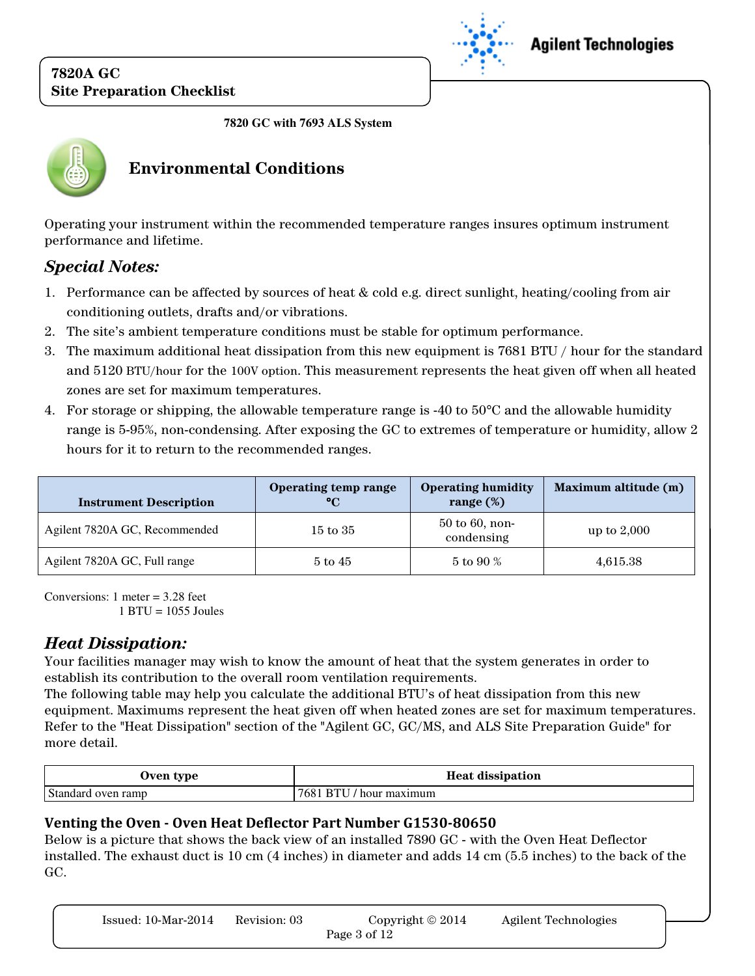

## **Agilent Technologies**

**7820 GC with 7693 ALS System** 



## Environmental Conditions

Operating your instrument within the recommended temperature ranges insures optimum instrument performance and lifetime.

## Special Notes:

- 1. Performance can be affected by sources of heat & cold e.g. direct sunlight, heating/cooling from air conditioning outlets, drafts and/or vibrations.
- 2. The site's ambient temperature conditions must be stable for optimum performance.
- 3. The maximum additional heat dissipation from this new equipment is 7681 BTU / hour for the standard and 5120 BTU/hour for the 100V option. This measurement represents the heat given off when all heated zones are set for maximum temperatures.
- 4. For storage or shipping, the allowable temperature range is -40 to  $50^{\circ}$ C and the allowable humidity range is 5-95%, non-condensing. After exposing the GC to extremes of temperature or humidity, allow 2 hours for it to return to the recommended ranges.

| <b>Instrument Description</b> | Operating temp range<br>$\rm ^{\circ}C$ | <b>Operating humidity</b><br>range $(\%)$ | Maximum altitude (m) |
|-------------------------------|-----------------------------------------|-------------------------------------------|----------------------|
| Agilent 7820A GC, Recommended | $15 \text{ to } 35$                     | $50$ to $60$ , non-<br>condensing         | up to $2,000$        |
| Agilent 7820A GC, Full range  | $5 \text{ to } 45$                      | 5 to 90 %                                 | 4,615.38             |

Conversions: 1 meter = 3.28 feet 1 BTU = 1055 Joules

### Heat Dissipation:

Your facilities manager may wish to know the amount of heat that the system generates in order to establish its contribution to the overall room ventilation requirements.

The following table may help you calculate the additional BTU's of heat dissipation from this new equipment. Maximums represent the heat given off when heated zones are set for maximum temperatures. Refer to the "Heat Dissipation" section of the "Agilent GC, GC/MS, and ALS Site Preparation Guide" for more detail.

| Jven type          | <b>Heat dissipation</b> |
|--------------------|-------------------------|
| Standard oven ramp | 768<br>' hour maximum   |

#### Venting the Oven - Oven Heat Deflector Part Number G1530-80650

Below is a picture that shows the back view of an installed 7890 GC - with the Oven Heat Deflector installed. The exhaust duct is 10 cm (4 inches) in diameter and adds 14 cm (5.5 inches) to the back of the GC.

| Issued: $10$ -Mar- $2014$ | Revision: 03 | Copyright $\odot$ 2014 | <b>Agilent Technologies</b> |
|---------------------------|--------------|------------------------|-----------------------------|
|                           |              | Page 3 of 12           |                             |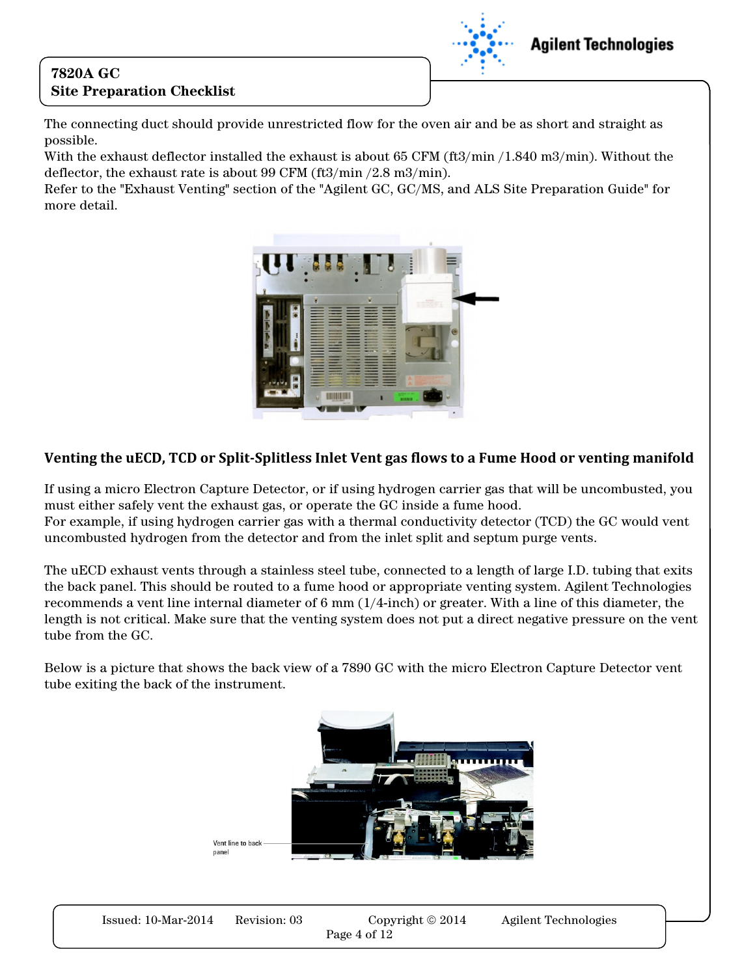

**Agilent Technologies** 

The connecting duct should provide unrestricted flow for the oven air and be as short and straight as possible.

With the exhaust deflector installed the exhaust is about 65 CFM (ft3/min / 1.840 m3/min). Without the deflector, the exhaust rate is about 99 CFM (ft3/min /2.8 m3/min).

Refer to the "Exhaust Venting" section of the "Agilent GC, GC/MS, and ALS Site Preparation Guide" for more detail.



#### Venting the uECD, TCD or Split-Splitless Inlet Vent gas flows to a Fume Hood or venting manifold

If using a micro Electron Capture Detector, or if using hydrogen carrier gas that will be uncombusted, you must either safely vent the exhaust gas, or operate the GC inside a fume hood. For example, if using hydrogen carrier gas with a thermal conductivity detector (TCD) the GC would vent

uncombusted hydrogen from the detector and from the inlet split and septum purge vents.

The uECD exhaust vents through a stainless steel tube, connected to a length of large I.D. tubing that exits the back panel. This should be routed to a fume hood or appropriate venting system. Agilent Technologies recommends a vent line internal diameter of 6 mm (1/4-inch) or greater. With a line of this diameter, the length is not critical. Make sure that the venting system does not put a direct negative pressure on the vent tube from the GC.

Below is a picture that shows the back view of a 7890 GC with the micro Electron Capture Detector vent tube exiting the back of the instrument.

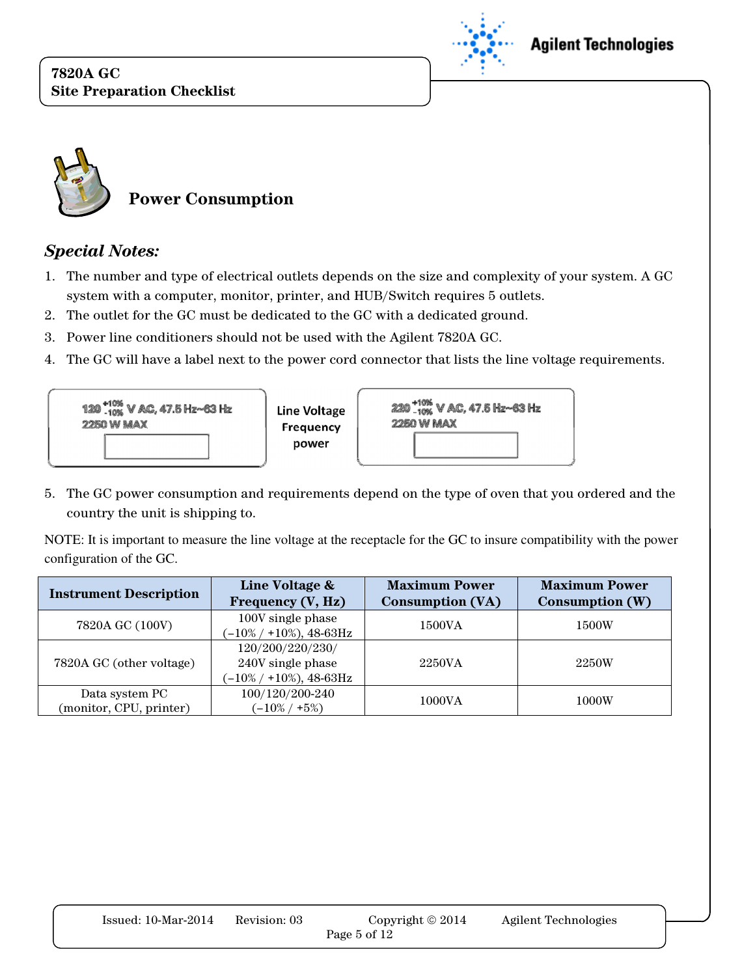



### Special Notes:

- 1. The number and type of electrical outlets depends on the size and complexity of your system. A GC system with a computer, monitor, printer, and HUB/Switch requires 5 outlets.
- 2. The outlet for the GC must be dedicated to the GC with a dedicated ground.
- 3. Power line conditioners should not be used with the Agilent 7820A GC.
- 4. The GC will have a label next to the power cord connector that lists the line voltage requirements.



5. The GC power consumption and requirements depend on the type of oven that you ordered and the country the unit is shipping to.

NOTE: It is important to measure the line voltage at the receptacle for the GC to insure compatibility with the power configuration of the GC.

| <b>Instrument Description</b>             | Line Voltage &<br>Frequency (V, Hz)                                 | <b>Maximum Power</b><br><b>Consumption (VA)</b> | <b>Maximum Power</b><br>Consumption (W) |
|-------------------------------------------|---------------------------------------------------------------------|-------------------------------------------------|-----------------------------------------|
| 7820A GC (100V)                           | 100V single phase<br>$(-10\% / +10\%), 48-63$ Hz                    | 1500VA                                          | 1500W                                   |
| 7820A GC (other voltage)                  | 120/200/220/230/<br>240V single phase<br>$(-10\% / +10\%), 48-63Hz$ | 2250VA                                          | 2250W                                   |
| Data system PC<br>(monitor, CPU, printer) | 100/120/200-240<br>$-10\%$ / +5%)                                   | 1000VA                                          | 1000W                                   |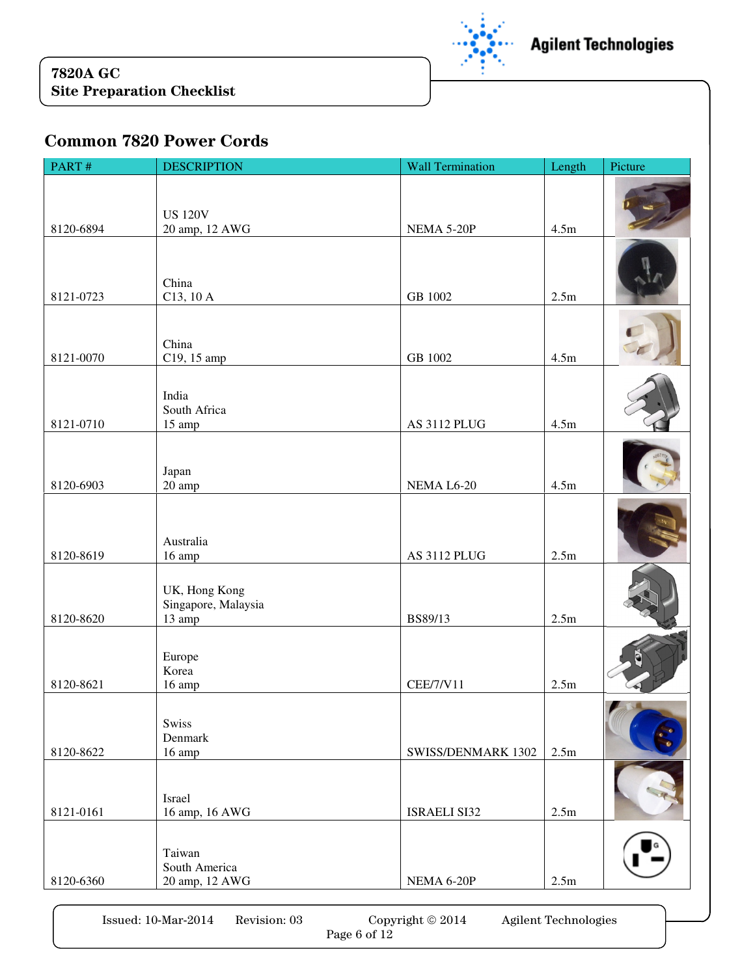

## Common 7820 Power Cords

| PART#     | <b>DESCRIPTION</b>                  | <b>Wall Termination</b> | Length                      | Picture |
|-----------|-------------------------------------|-------------------------|-----------------------------|---------|
|           |                                     |                         |                             |         |
|           | <b>US 120V</b>                      |                         |                             |         |
| 8120-6894 | 20 amp, 12 AWG                      | NEMA 5-20P              | 4.5m                        |         |
|           |                                     |                         |                             |         |
|           |                                     |                         |                             |         |
| 8121-0723 | China<br>C13, 10 A                  | GB 1002                 | 2.5m                        |         |
|           |                                     |                         |                             |         |
|           | China                               |                         |                             |         |
| 8121-0070 | C19, 15 amp                         | GB 1002                 | 4.5m                        |         |
|           |                                     |                         |                             |         |
|           | India                               |                         |                             |         |
| 8121-0710 | South Africa<br>15 amp              | AS 3112 PLUG            | 4.5m                        |         |
|           |                                     |                         |                             |         |
|           |                                     |                         |                             |         |
| 8120-6903 | Japan<br>20 amp                     | NEMA L6-20              | 4.5m                        |         |
|           |                                     |                         |                             |         |
|           |                                     |                         |                             |         |
| 8120-8619 | Australia                           |                         |                             |         |
|           | 16 amp                              | AS 3112 PLUG            | 2.5m                        |         |
|           | UK, Hong Kong                       |                         |                             |         |
| 8120-8620 | Singapore, Malaysia                 | BS89/13                 | 2.5m                        |         |
|           | 13 amp                              |                         |                             |         |
|           | Europe                              |                         |                             |         |
|           | Korea                               |                         |                             |         |
| 8120-8621 | 16 amp                              | <b>CEE/7/V11</b>        | 2.5m                        |         |
|           | <b>Swiss</b>                        |                         |                             |         |
|           | Denmark                             |                         |                             |         |
| 8120-8622 | 16 amp                              | SWISS/DENMARK 1302      | 2.5 <sub>m</sub>            |         |
|           |                                     |                         |                             |         |
|           | Israel                              |                         |                             |         |
| 8121-0161 | 16 amp, 16 AWG                      | <b>ISRAELI SI32</b>     | 2.5m                        |         |
|           |                                     |                         |                             |         |
|           | Taiwan<br>South America             |                         |                             |         |
| 8120-6360 | 20 amp, 12 AWG                      | NEMA 6-20P              | 2.5m                        |         |
|           |                                     |                         |                             |         |
|           | Issued: 10-Mar-2014<br>Revision: 03 | Copyright © 2014        | <b>Agilent Technologies</b> |         |

Page 6 of 12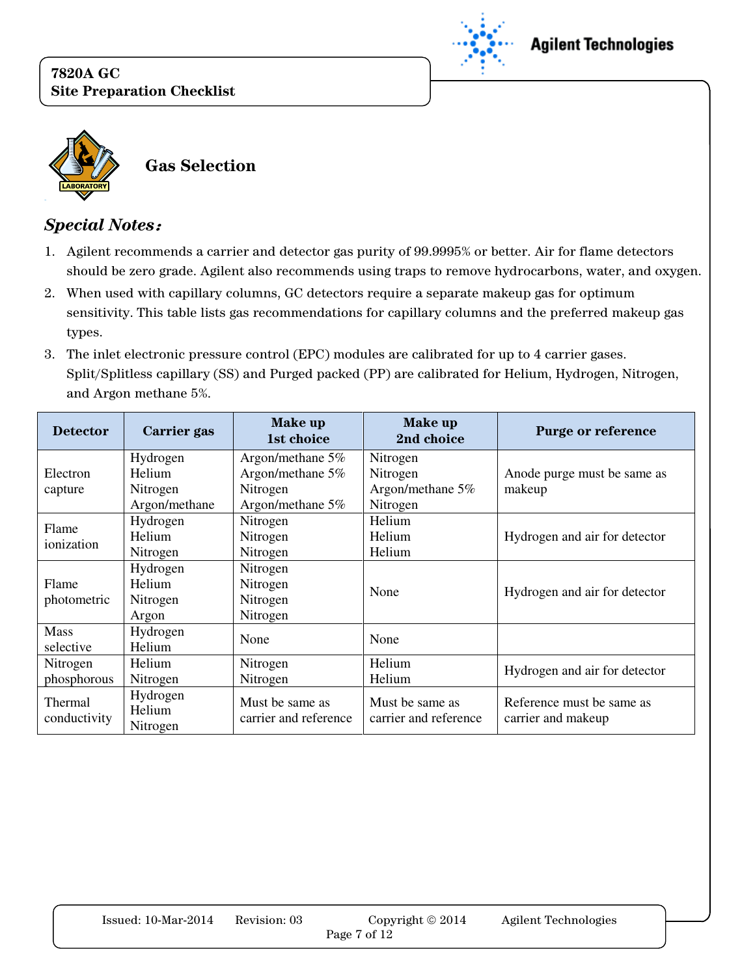



### Special Notes:

- 1. Agilent recommends a carrier and detector gas purity of 99.9995% or better. Air for flame detectors should be zero grade. Agilent also recommends using traps to remove hydrocarbons, water, and oxygen.
- 2. When used with capillary columns, GC detectors require a separate makeup gas for optimum sensitivity. This table lists gas recommendations for capillary columns and the preferred makeup gas types.
- 3. The inlet electronic pressure control (EPC) modules are calibrated for up to 4 carrier gases. Split/Splitless capillary (SS) and Purged packed (PP) are calibrated for Helium, Hydrogen, Nitrogen, and Argon methane 5%.

| <b>Detector</b>         | Carrier gas                    | <b>Make up</b><br>1st choice             | Make up<br>2nd choice                    | Purge or reference                              |
|-------------------------|--------------------------------|------------------------------------------|------------------------------------------|-------------------------------------------------|
|                         | Hydrogen                       | Argon/methane 5%                         | Nitrogen                                 |                                                 |
| Electron                | <b>Helium</b>                  | Argon/methane 5%                         | Nitrogen                                 | Anode purge must be same as                     |
| capture                 | Nitrogen                       | Nitrogen                                 | Argon/methane 5%                         | makeup                                          |
|                         | Argon/methane                  | Argon/methane 5%                         | Nitrogen                                 |                                                 |
| Flame                   | Hydrogen                       | Nitrogen                                 | Helium                                   |                                                 |
| ionization              | Helium                         | Nitrogen                                 | Helium                                   | Hydrogen and air for detector                   |
|                         | Nitrogen                       | Nitrogen                                 | Helium                                   |                                                 |
|                         | Hydrogen                       | Nitrogen                                 |                                          |                                                 |
| Flame                   | Helium                         | Nitrogen                                 |                                          |                                                 |
| photometric             | Nitrogen                       | Nitrogen                                 | None                                     | Hydrogen and air for detector                   |
|                         | Argon                          | Nitrogen                                 |                                          |                                                 |
| <b>Mass</b>             | Hydrogen                       | None                                     | None                                     |                                                 |
| selective               | Helium                         |                                          |                                          |                                                 |
| Nitrogen                | <b>Helium</b>                  | Nitrogen                                 | Helium                                   | Hydrogen and air for detector                   |
| phosphorous             | Nitrogen                       | Nitrogen                                 | Helium                                   |                                                 |
| Thermal<br>conductivity | Hydrogen<br>Helium<br>Nitrogen | Must be same as<br>carrier and reference | Must be same as<br>carrier and reference | Reference must be same as<br>carrier and makeup |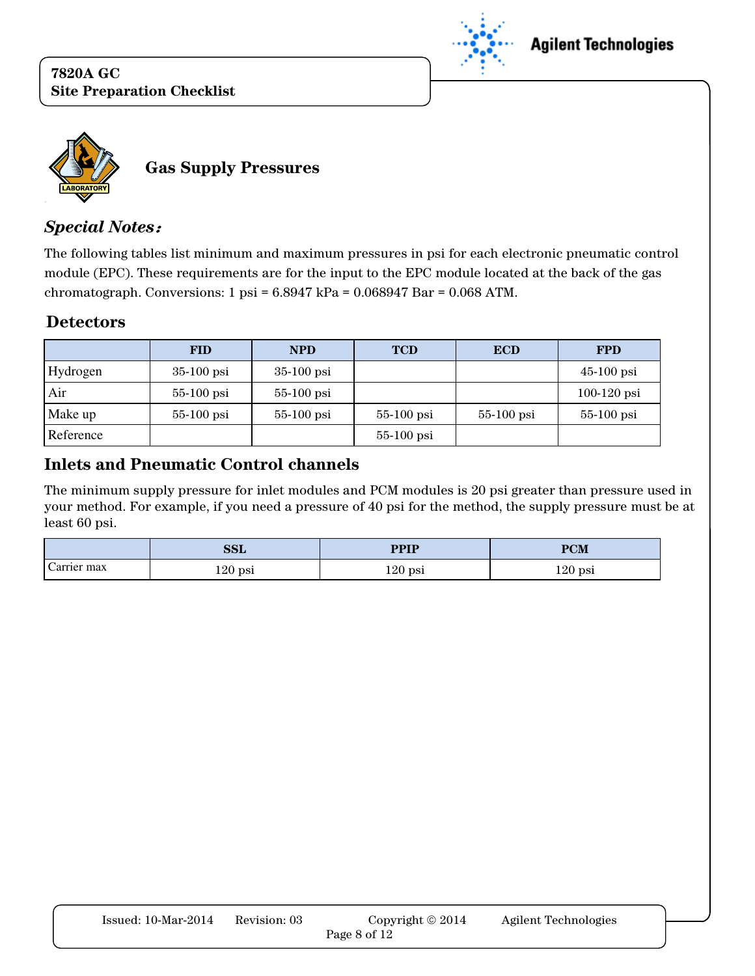



### Special Notes:

The following tables list minimum and maximum pressures in psi for each electronic pneumatic control module (EPC). These requirements are for the input to the EPC module located at the back of the gas chromatograph. Conversions:  $1 \text{ psi} = 6.8947 \text{ kPa} = 0.068947 \text{ Bar} = 0.068 \text{ ATM}$ .

#### **Detectors**

|           | <b>FID</b>   | <b>NPD</b>   | <b>TCD</b>   | <b>ECD</b>   | <b>FPD</b>    |
|-----------|--------------|--------------|--------------|--------------|---------------|
| Hydrogen  | $35-100$ psi | $35-100$ psi |              |              | $45-100$ psi  |
| Air       | $55-100$ psi | $55-100$ psi |              |              | $100-120$ psi |
| Make up   | $55-100$ psi | $55-100$ psi | $55-100$ psi | $55-100$ psi | $55-100$ psi  |
| Reference |              |              | $55-100$ psi |              |               |

### Inlets and Pneumatic Control channels

The minimum supply pressure for inlet modules and PCM modules is 20 psi greater than pressure used in your method. For example, if you need a pressure of 40 psi for the method, the supply pressure must be at least 60 psi.

|                       | <b>SSL</b> | <b>PPIP</b> | <b>PCM</b> |
|-----------------------|------------|-------------|------------|
| $\sim$<br>Carrier max | $120$ psi  | $120$ psi   | $120$ psi  |

| Issued: $10$ -Mar- $2014$ | Revision: 03 | Copyright $\odot$ 2014 | Agilent Technologies |
|---------------------------|--------------|------------------------|----------------------|
|                           |              | Page 8 of 12           |                      |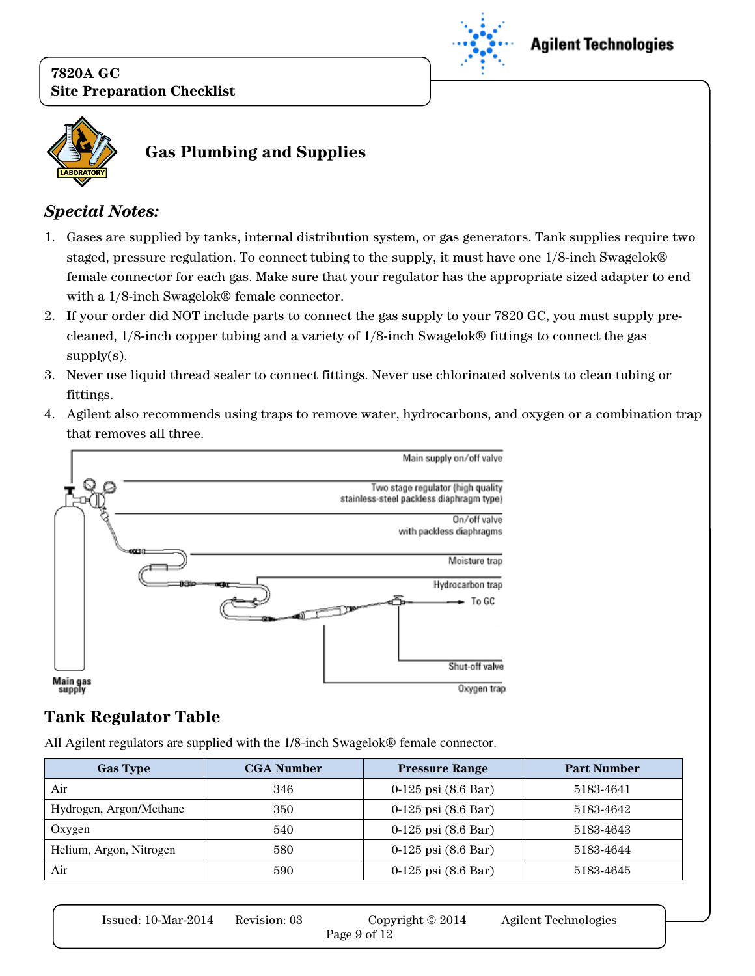



# Gas Plumbing and Supplies

## Special Notes:

- 1. Gases are supplied by tanks, internal distribution system, or gas generators. Tank supplies require two staged, pressure regulation. To connect tubing to the supply, it must have one 1/8-inch Swagelok female connector for each gas. Make sure that your regulator has the appropriate sized adapter to end with a  $1/8$ -inch Swagelok $\circledast$  female connector.
- 2. If your order did NOT include parts to connect the gas supply to your 7820 GC, you must supply precleaned,  $1/8$ -inch copper tubing and a variety of  $1/8$ -inch Swagelok $\otimes$  fittings to connect the gas supply $(s)$ .
- 3. Never use liquid thread sealer to connect fittings. Never use chlorinated solvents to clean tubing or fittings.
- 4. Agilent also recommends using traps to remove water, hydrocarbons, and oxygen or a combination trap that removes all three.



# Tank Regulator Table

All Agilent regulators are supplied with the 1/8-inch Swagelok® female connector.

| <b>Gas Type</b>         | <b>CGA Number</b> | <b>Pressure Range</b>           | <b>Part Number</b> |
|-------------------------|-------------------|---------------------------------|--------------------|
| Air                     | 346               | $0-125$ psi $(8.6 \text{ Bar})$ | 5183-4641          |
| Hydrogen, Argon/Methane | 350               | $0-125$ psi $(8.6 \text{ Bar})$ | 5183-4642          |
| Oxygen                  | 540               | $0-125$ psi $(8.6 \text{ Bar})$ | 5183-4643          |
| Helium, Argon, Nitrogen | 580               | $0-125$ psi $(8.6 \text{ Bar})$ | 5183-4644          |
| Air                     | 590               | $0-125$ psi $(8.6 \text{ Bar})$ | 5183-4645          |

| Issued: $10$ -Mar- $2014$ | Revision: 03 | Copyright $\odot$ 2014 | Agilent Technologies |
|---------------------------|--------------|------------------------|----------------------|
|                           |              | Page 9 of 12           |                      |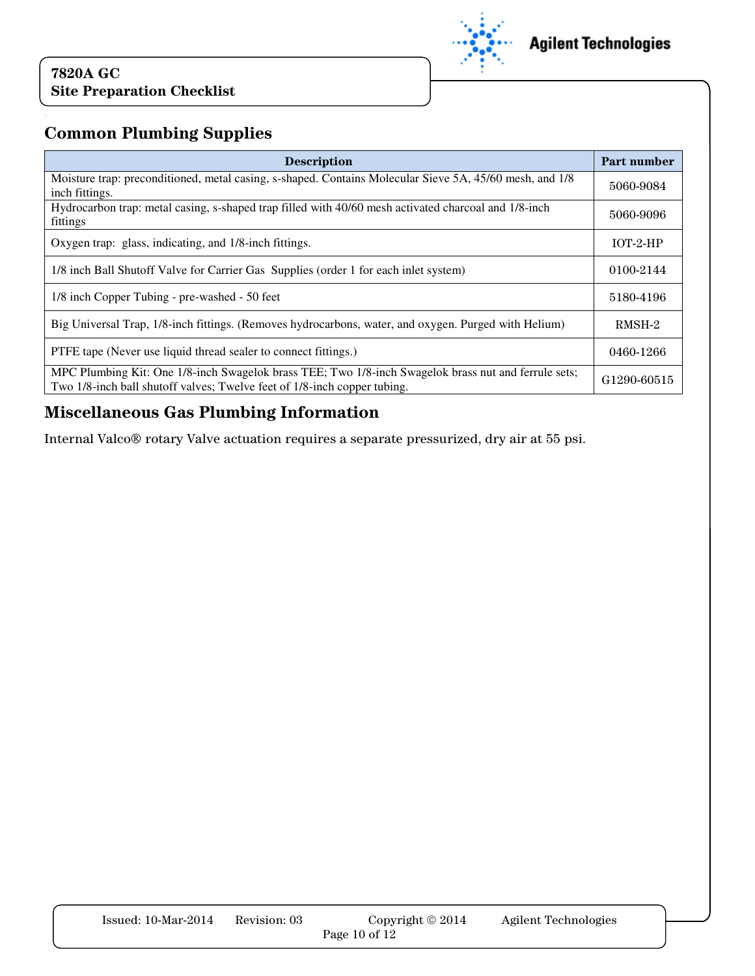

# Common Plumbing Supplies

| <b>Description</b>                                                                                                                                                               | Part number |  |
|----------------------------------------------------------------------------------------------------------------------------------------------------------------------------------|-------------|--|
| Moisture trap: preconditioned, metal casing, s-shaped. Contains Molecular Sieve 5A, 45/60 mesh, and 1/8<br>inch fittings.                                                        | 5060-9084   |  |
| Hydrocarbon trap: metal casing, s-shaped trap filled with 40/60 mesh activated charcoal and 1/8-inch<br>fittings                                                                 | 5060-9096   |  |
| Oxygen trap: glass, indicating, and 1/8-inch fittings.                                                                                                                           | $IOT-2-HP$  |  |
| 1/8 inch Ball Shutoff Valve for Carrier Gas Supplies (order 1 for each inlet system)                                                                                             | 0100-2144   |  |
| 1/8 inch Copper Tubing - pre-washed - 50 feet                                                                                                                                    | 5180-4196   |  |
| Big Universal Trap, 1/8-inch fittings. (Removes hydrocarbons, water, and oxygen. Purged with Helium)                                                                             | RMSH-2      |  |
| PTFE tape (Never use liquid thread sealer to connect fittings.)                                                                                                                  | 0460-1266   |  |
| MPC Plumbing Kit: One 1/8-inch Swagelok brass TEE; Two 1/8-inch Swagelok brass nut and ferrule sets;<br>Two 1/8-inch ball shutoff valves; Twelve feet of 1/8-inch copper tubing. |             |  |

## Miscellaneous Gas Plumbing Information

Internal Valco® rotary Valve actuation requires a separate pressurized, dry air at 55 psi.

| Issued: $10$ -Mar- $2014$ | Revision: 03 | Copyright $\odot$ 2014 | Agilent Technologies |
|---------------------------|--------------|------------------------|----------------------|
|                           |              | Page 10 of $12$        |                      |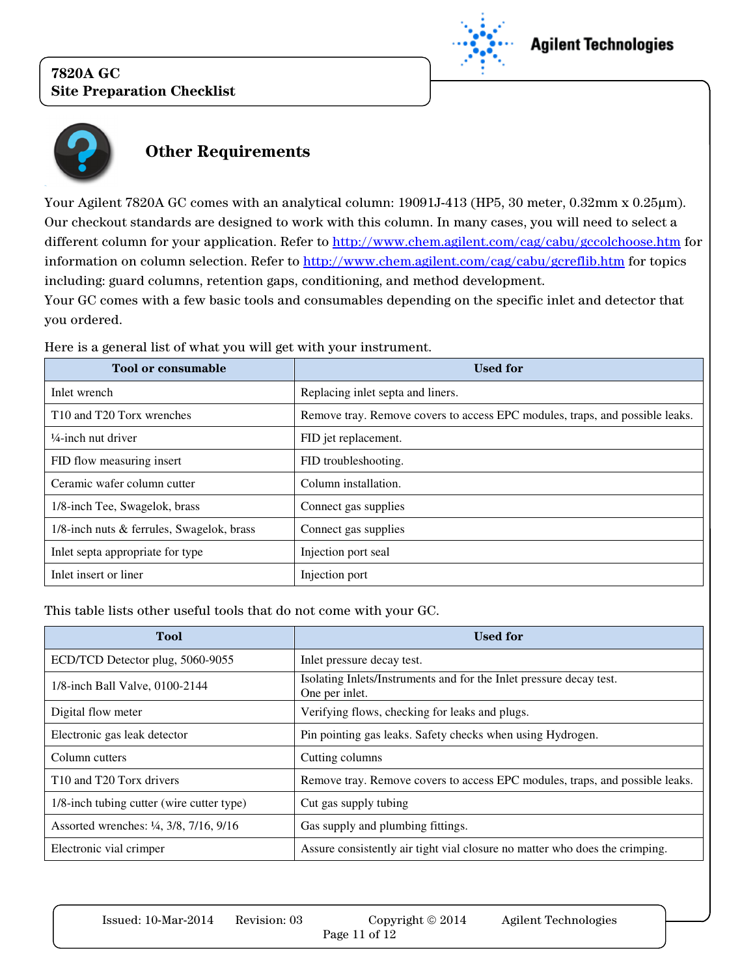

## **Agilent Technologies**



# Other Requirements

Your Agilent 7820A GC comes with an analytical column: 19091J-413 (HP5, 30 meter, 0.32mm x 0.25µm). Our checkout standards are designed to work with this column. In many cases, you will need to select a different column for your application. Refer to http://www.chem.agilent.com/cag/cabu/gccolchoose.htm for information on column selection. Refer to http://www.chem.agilent.com/cag/cabu/gcreflib.htm for topics including: guard columns, retention gaps, conditioning, and method development. Your GC comes with a few basic tools and consumables depending on the specific inlet and detector that you ordered.

| <b>Tool or consumable</b>                         | <b>Used for</b>                                                              |
|---------------------------------------------------|------------------------------------------------------------------------------|
| Inlet wrench                                      | Replacing inlet septa and liners.                                            |
| T <sub>10</sub> and T <sub>20</sub> Torx wrenches | Remove tray. Remove covers to access EPC modules, traps, and possible leaks. |
| $\frac{1}{4}$ -inch nut driver                    | FID jet replacement.                                                         |
| FID flow measuring insert                         | FID troubleshooting.                                                         |
| Ceramic wafer column cutter                       | Column installation.                                                         |
| 1/8-inch Tee, Swagelok, brass                     | Connect gas supplies                                                         |
| 1/8-inch nuts & ferrules, Swagelok, brass         | Connect gas supplies                                                         |
| Inlet septa appropriate for type                  | Injection port seal                                                          |
| Inlet insert or liner                             | Injection port                                                               |

Here is a general list of what you will get with your instrument.

This table lists other useful tools that do not come with your GC.

| <b>Tool</b>                                      | <b>Used for</b>                                                                       |
|--------------------------------------------------|---------------------------------------------------------------------------------------|
| ECD/TCD Detector plug, 5060-9055                 | Inlet pressure decay test.                                                            |
| 1/8-inch Ball Valve, 0100-2144                   | Isolating Inlets/Instruments and for the Inlet pressure decay test.<br>One per inlet. |
| Digital flow meter                               | Verifying flows, checking for leaks and plugs.                                        |
| Electronic gas leak detector                     | Pin pointing gas leaks. Safety checks when using Hydrogen.                            |
| Column cutters                                   | Cutting columns                                                                       |
| T <sub>10</sub> and T <sub>20</sub> Torx drivers | Remove tray. Remove covers to access EPC modules, traps, and possible leaks.          |
| 1/8-inch tubing cutter (wire cutter type)        | Cut gas supply tubing                                                                 |
| Assorted wrenches: 1/4, 3/8, 7/16, 9/16          | Gas supply and plumbing fittings.                                                     |
| Electronic vial crimper                          | Assure consistently air tight vial closure no matter who does the crimping.           |

| $Issued: 10-Mar-2014$ | Revision: 03 | Copyright $\odot$ 2014 | Agilent Technologies |
|-----------------------|--------------|------------------------|----------------------|
|                       |              | Page 11 of 12          |                      |